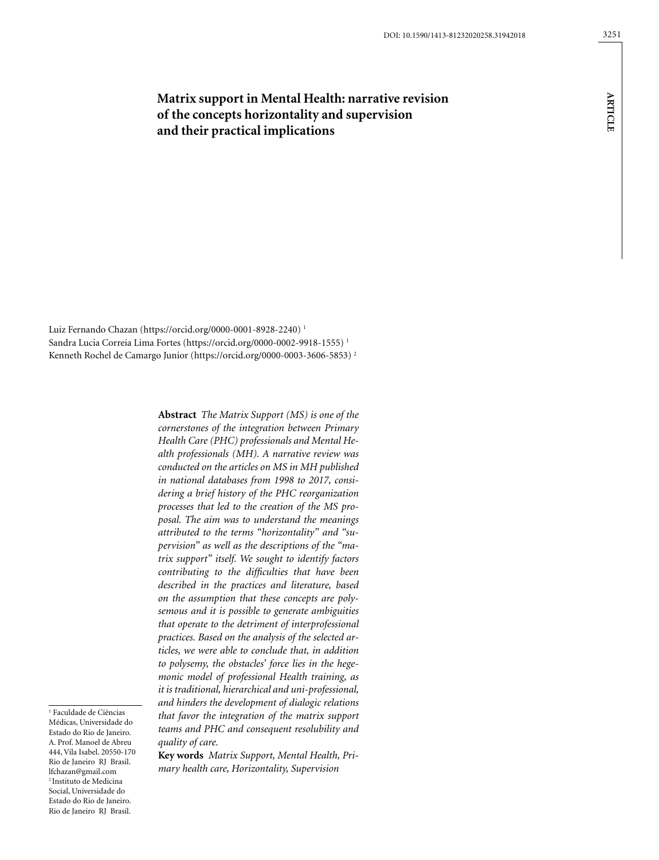# **Matrix support in Mental Health: narrative revision of the concepts horizontality and supervision**

**and their practical implications**

Luiz Fernando Chazan (https://orcid.org/0000-0001-8928-2240) 1 Sandra Lucia Correia Lima Fortes (https://orcid.org/0000-0002-9918-1555) 1 Kenneth Rochel de Camargo Junior (https://orcid.org/0000-0003-3606-5853) 2

> **Abstract** *The Matrix Support (MS) is one of the cornerstones of the integration between Primary Health Care (PHC) professionals and Mental Health professionals (MH). A narrative review was conducted on the articles on MS in MH published in national databases from 1998 to 2017, considering a brief history of the PHC reorganization processes that led to the creation of the MS proposal. The aim was to understand the meanings attributed to the terms "horizontality" and "supervision" as well as the descriptions of the "matrix support" itself. We sought to identify factors contributing to the difficulties that have been described in the practices and literature, based on the assumption that these concepts are polysemous and it is possible to generate ambiguities that operate to the detriment of interprofessional practices. Based on the analysis of the selected articles, we were able to conclude that, in addition to polysemy, the obstacles' force lies in the hegemonic model of professional Health training, as it is traditional, hierarchical and uni-professional, and hinders the development of dialogic relations that favor the integration of the matrix support teams and PHC and consequent resolubility and quality of care.*

**Key words** *Matrix Support, Mental Health, Primary health care, Horizontality, Supervision*

1 Faculdade de Ciências Médicas, Universidade do Estado do Rio de Janeiro. A. Prof. Manoel de Abreu 444, Vila Isabel. 20550-170 Rio de Janeiro RJ Brasil. lfchazan@gmail.com 2 Instituto de Medicina Social, Universidade do Estado do Rio de Janeiro. Rio de Janeiro RJ Brasil.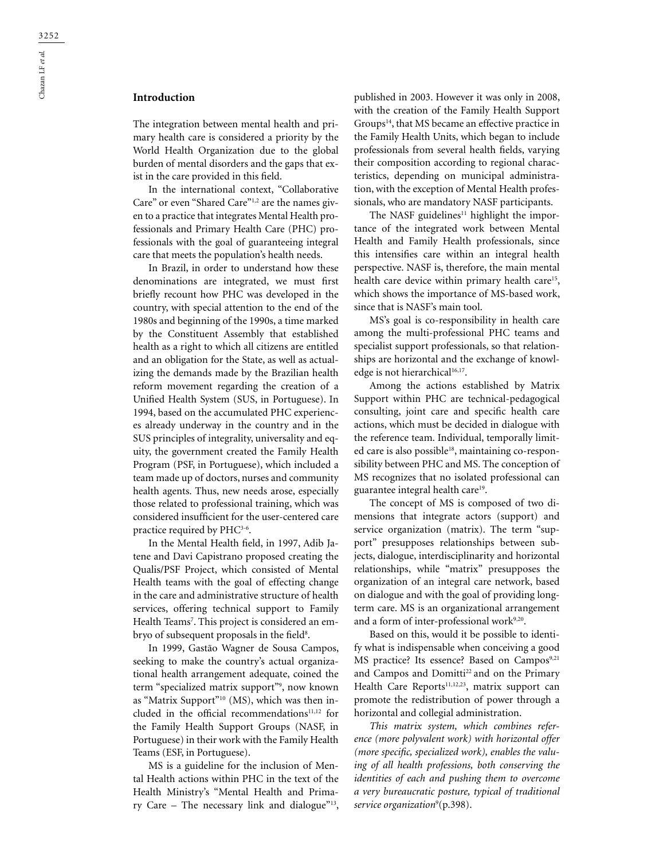The integration between mental health and primary health care is considered a priority by the World Health Organization due to the global burden of mental disorders and the gaps that exist in the care provided in this field.

In the international context, "Collaborative Care" or even "Shared Care"1,2 are the names given to a practice that integrates Mental Health professionals and Primary Health Care (PHC) professionals with the goal of guaranteeing integral care that meets the population's health needs.

In Brazil, in order to understand how these denominations are integrated, we must first briefly recount how PHC was developed in the country, with special attention to the end of the 1980s and beginning of the 1990s, a time marked by the Constituent Assembly that established health as a right to which all citizens are entitled and an obligation for the State, as well as actualizing the demands made by the Brazilian health reform movement regarding the creation of a Unified Health System (SUS, in Portuguese). In 1994, based on the accumulated PHC experiences already underway in the country and in the SUS principles of integrality, universality and equity, the government created the Family Health Program (PSF, in Portuguese), which included a team made up of doctors, nurses and community health agents. Thus, new needs arose, especially those related to professional training, which was considered insufficient for the user-centered care practice required by PHC<sup>3-6</sup>.

In the Mental Health field, in 1997, Adib Jatene and Davi Capistrano proposed creating the Qualis/PSF Project, which consisted of Mental Health teams with the goal of effecting change in the care and administrative structure of health services, offering technical support to Family Health Teams7 . This project is considered an embryo of subsequent proposals in the field<sup>8</sup>.

In 1999, Gastão Wagner de Sousa Campos, seeking to make the country's actual organizational health arrangement adequate, coined the term "specialized matrix support"9 , now known as "Matrix Support"10 (MS), which was then included in the official recommendations $11,12$  for the Family Health Support Groups (NASF, in Portuguese) in their work with the Family Health Teams (ESF, in Portuguese).

MS is a guideline for the inclusion of Mental Health actions within PHC in the text of the Health Ministry's "Mental Health and Primary Care – The necessary link and dialogue"<sup>13</sup>, published in 2003. However it was only in 2008, with the creation of the Family Health Support Groups<sup>14</sup>, that MS became an effective practice in the Family Health Units, which began to include professionals from several health fields, varying their composition according to regional characteristics, depending on municipal administration, with the exception of Mental Health professionals, who are mandatory NASF participants.

The NASF guidelines<sup>11</sup> highlight the importance of the integrated work between Mental Health and Family Health professionals, since this intensifies care within an integral health perspective. NASF is, therefore, the main mental health care device within primary health care<sup>15</sup>, which shows the importance of MS-based work, since that is NASF's main tool.

MS's goal is co-responsibility in health care among the multi-professional PHC teams and specialist support professionals, so that relationships are horizontal and the exchange of knowledge is not hierarchical<sup>16,17</sup>.

Among the actions established by Matrix Support within PHC are technical-pedagogical consulting, joint care and specific health care actions, which must be decided in dialogue with the reference team. Individual, temporally limited care is also possible<sup>18</sup>, maintaining co-responsibility between PHC and MS. The conception of MS recognizes that no isolated professional can guarantee integral health care<sup>19</sup>.

The concept of MS is composed of two dimensions that integrate actors (support) and service organization (matrix). The term "support" presupposes relationships between subjects, dialogue, interdisciplinarity and horizontal relationships, while "matrix" presupposes the organization of an integral care network, based on dialogue and with the goal of providing longterm care. MS is an organizational arrangement and a form of inter-professional work<sup>9,20</sup>.

Based on this, would it be possible to identify what is indispensable when conceiving a good MS practice? Its essence? Based on Campos<sup>9,21</sup> and Campos and Domitti<sup>22</sup> and on the Primary Health Care Reports<sup>11,12,23</sup>, matrix support can promote the redistribution of power through a horizontal and collegial administration.

*This matrix system, which combines reference (more polyvalent work) with horizontal offer (more specific, specialized work), enables the valuing of all health professions, both conserving the identities of each and pushing them to overcome a very bureaucratic posture, typical of traditional*  service organization<sup>9</sup>(p.398).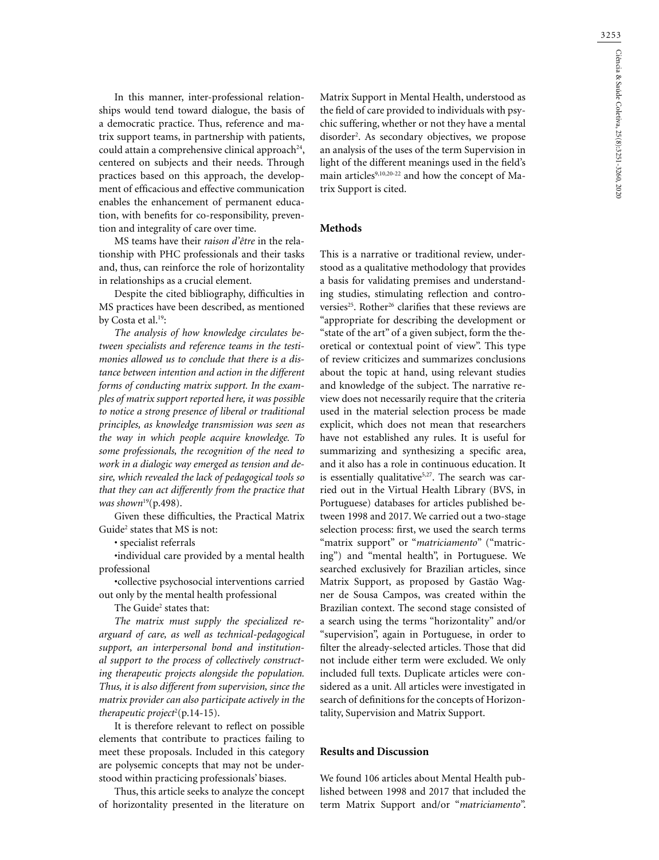In this manner, inter-professional relationships would tend toward dialogue, the basis of a democratic practice. Thus, reference and matrix support teams, in partnership with patients, could attain a comprehensive clinical approach<sup>24</sup>, centered on subjects and their needs. Through practices based on this approach, the development of efficacious and effective communication enables the enhancement of permanent education, with benefits for co-responsibility, prevention and integrality of care over time.

MS teams have their *raison d'être* in the relationship with PHC professionals and their tasks and, thus, can reinforce the role of horizontality in relationships as a crucial element.

Despite the cited bibliography, difficulties in MS practices have been described, as mentioned by Costa et al.<sup>19</sup>:

*The analysis of how knowledge circulates between specialists and reference teams in the testimonies allowed us to conclude that there is a distance between intention and action in the different forms of conducting matrix support. In the examples of matrix support reported here, it was possible to notice a strong presence of liberal or traditional principles, as knowledge transmission was seen as the way in which people acquire knowledge. To some professionals, the recognition of the need to work in a dialogic way emerged as tension and desire, which revealed the lack of pedagogical tools so that they can act differently from the practice that was shown*<sup>19</sup>(p.498).

Given these difficulties, the Practical Matrix Guide<sup>2</sup> states that MS is not:

• specialist referrals

•individual care provided by a mental health professional

•collective psychosocial interventions carried out only by the mental health professional

The Guide<sup>2</sup> states that:

*The matrix must supply the specialized rearguard of care, as well as technical-pedagogical support, an interpersonal bond and institutional support to the process of collectively constructing therapeutic projects alongside the population. Thus, it is also different from supervision, since the matrix provider can also participate actively in the*  therapeutic project<sup>2</sup>(p.14-15).

It is therefore relevant to reflect on possible elements that contribute to practices failing to meet these proposals. Included in this category are polysemic concepts that may not be understood within practicing professionals' biases.

Thus, this article seeks to analyze the concept of horizontality presented in the literature on

Matrix Support in Mental Health, understood as the field of care provided to individuals with psychic suffering, whether or not they have a mental disorder2 . As secondary objectives, we propose an analysis of the uses of the term Supervision in light of the different meanings used in the field's main articles<sup>9,10,20-22</sup> and how the concept of Matrix Support is cited.

**Methods**

This is a narrative or traditional review, understood as a qualitative methodology that provides a basis for validating premises and understanding studies, stimulating reflection and controversies<sup>25</sup>. Rother<sup>26</sup> clarifies that these reviews are "appropriate for describing the development or "state of the art" of a given subject, form the theoretical or contextual point of view". This type of review criticizes and summarizes conclusions about the topic at hand, using relevant studies and knowledge of the subject. The narrative review does not necessarily require that the criteria used in the material selection process be made explicit, which does not mean that researchers have not established any rules. It is useful for summarizing and synthesizing a specific area, and it also has a role in continuous education. It is essentially qualitative<sup>5,27</sup>. The search was carried out in the Virtual Health Library (BVS, in Portuguese) databases for articles published between 1998 and 2017. We carried out a two-stage selection process: first, we used the search terms "matrix support" or "*matriciamento*" ("matricing") and "mental health", in Portuguese. We searched exclusively for Brazilian articles, since Matrix Support, as proposed by Gastão Wagner de Sousa Campos, was created within the Brazilian context. The second stage consisted of a search using the terms "horizontality" and/or "supervision", again in Portuguese, in order to filter the already-selected articles. Those that did not include either term were excluded. We only included full texts. Duplicate articles were considered as a unit. All articles were investigated in search of definitions for the concepts of Horizontality, Supervision and Matrix Support.

## **Results and Discussion**

We found 106 articles about Mental Health published between 1998 and 2017 that included the term Matrix Support and/or "*matriciamento*".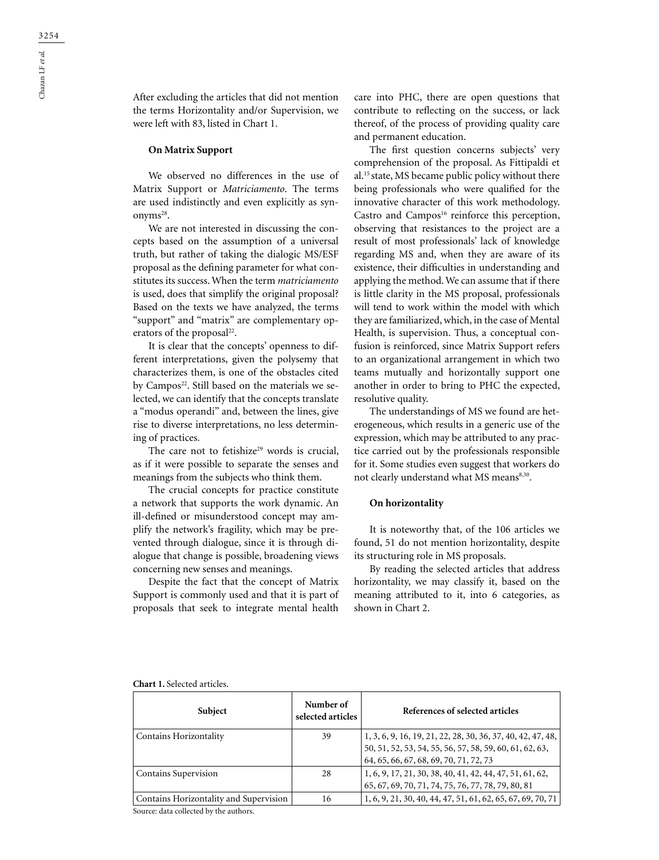After excluding the articles that did not mention the terms Horizontality and/or Supervision, we were left with 83, listed in Chart 1.

#### **On Matrix Support**

We observed no differences in the use of Matrix Support or *Matriciamento*. The terms are used indistinctly and even explicitly as synonyms<sup>28</sup>.

We are not interested in discussing the concepts based on the assumption of a universal truth, but rather of taking the dialogic MS/ESF proposal as the defining parameter for what constitutes its success. When the term *matriciamento* is used, does that simplify the original proposal? Based on the texts we have analyzed, the terms "support" and "matrix" are complementary operators of the proposal<sup>22</sup>.

It is clear that the concepts' openness to different interpretations, given the polysemy that characterizes them, is one of the obstacles cited by Campos<sup>22</sup>. Still based on the materials we selected, we can identify that the concepts translate a "modus operandi" and, between the lines, give rise to diverse interpretations, no less determining of practices.

The care not to fetishize<sup>29</sup> words is crucial, as if it were possible to separate the senses and meanings from the subjects who think them.

The crucial concepts for practice constitute a network that supports the work dynamic. An ill-defined or misunderstood concept may amplify the network's fragility, which may be prevented through dialogue, since it is through dialogue that change is possible, broadening views concerning new senses and meanings.

Despite the fact that the concept of Matrix Support is commonly used and that it is part of proposals that seek to integrate mental health

care into PHC, there are open questions that contribute to reflecting on the success, or lack thereof, of the process of providing quality care and permanent education.

The first question concerns subjects' very comprehension of the proposal. As Fittipaldi et al.15 state, MS became public policy without there being professionals who were qualified for the innovative character of this work methodology. Castro and Campos<sup>16</sup> reinforce this perception, observing that resistances to the project are a result of most professionals' lack of knowledge regarding MS and, when they are aware of its existence, their difficulties in understanding and applying the method. We can assume that if there is little clarity in the MS proposal, professionals will tend to work within the model with which they are familiarized, which, in the case of Mental Health, is supervision. Thus, a conceptual confusion is reinforced, since Matrix Support refers to an organizational arrangement in which two teams mutually and horizontally support one another in order to bring to PHC the expected, resolutive quality.

The understandings of MS we found are heterogeneous, which results in a generic use of the expression, which may be attributed to any practice carried out by the professionals responsible for it. Some studies even suggest that workers do not clearly understand what MS means<sup>8,30</sup>.

### **On horizontality**

It is noteworthy that, of the 106 articles we found, 51 do not mention horizontality, despite its structuring role in MS proposals.

By reading the selected articles that address horizontality, we may classify it, based on the meaning attributed to it, into 6 categories, as shown in Chart 2.

| <b>Chart 1.</b> Selected articles. |  |
|------------------------------------|--|
|------------------------------------|--|

| Subject                                                                         | Number of<br>selected articles | References of selected articles                                                                                                                                  |
|---------------------------------------------------------------------------------|--------------------------------|------------------------------------------------------------------------------------------------------------------------------------------------------------------|
| Contains Horizontality                                                          | 39                             | 1, 3, 6, 9, 16, 19, 21, 22, 28, 30, 36, 37, 40, 42, 47, 48,<br>50, 51, 52, 53, 54, 55, 56, 57, 58, 59, 60, 61, 62, 63,<br>64, 65, 66, 67, 68, 69, 70, 71, 72, 73 |
| <b>Contains Supervision</b>                                                     | 28                             | 1, 6, 9, 17, 21, 30, 38, 40, 41, 42, 44, 47, 51, 61, 62,<br>65, 67, 69, 70, 71, 74, 75, 76, 77, 78, 79, 80, 81                                                   |
| Contains Horizontality and Supervision<br>Coursey data sollogted by the outhors | 16                             | 1, 6, 9, 21, 30, 40, 44, 47, 51, 61, 62, 65, 67, 69, 70, 71                                                                                                      |

ource: data collected by the authors.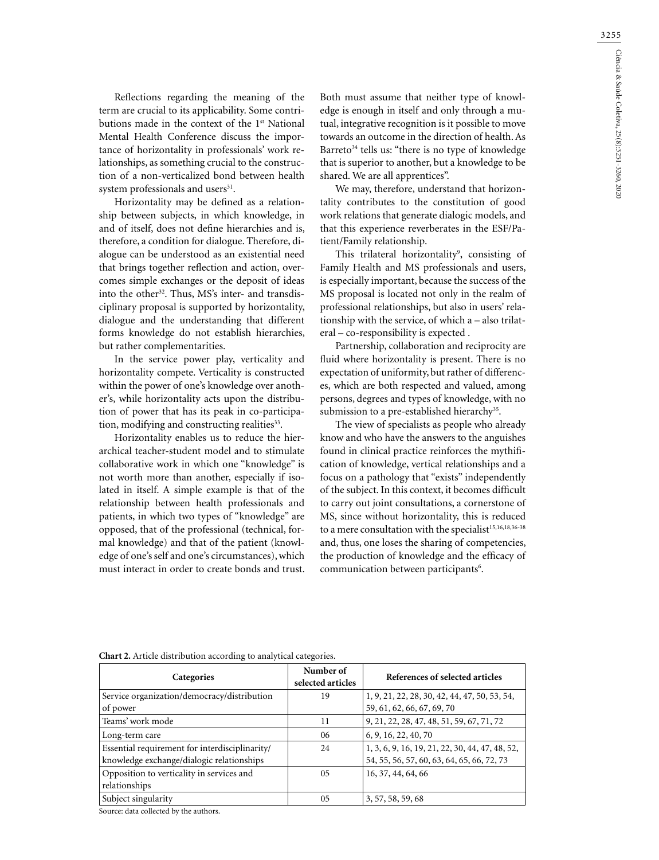Reflections regarding the meaning of the term are crucial to its applicability. Some contributions made in the context of the 1st National Mental Health Conference discuss the importance of horizontality in professionals' work relationships, as something crucial to the construction of a non-verticalized bond between health system professionals and users<sup>31</sup>.

Horizontality may be defined as a relationship between subjects, in which knowledge, in and of itself, does not define hierarchies and is, therefore, a condition for dialogue. Therefore, dialogue can be understood as an existential need that brings together reflection and action, overcomes simple exchanges or the deposit of ideas into the other<sup>32</sup>. Thus, MS's inter- and transdisciplinary proposal is supported by horizontality, dialogue and the understanding that different forms knowledge do not establish hierarchies, but rather complementarities.

In the service power play, verticality and horizontality compete. Verticality is constructed within the power of one's knowledge over another's, while horizontality acts upon the distribution of power that has its peak in co-participation, modifying and constructing realities<sup>33</sup>.

Horizontality enables us to reduce the hierarchical teacher-student model and to stimulate collaborative work in which one "knowledge" is not worth more than another, especially if isolated in itself. A simple example is that of the relationship between health professionals and patients, in which two types of "knowledge" are opposed, that of the professional (technical, formal knowledge) and that of the patient (knowledge of one's self and one's circumstances), which must interact in order to create bonds and trust.

Both must assume that neither type of knowledge is enough in itself and only through a mutual, integrative recognition is it possible to move towards an outcome in the direction of health. As Barreto<sup>34</sup> tells us: "there is no type of knowledge that is superior to another, but a knowledge to be shared. We are all apprentices".

We may, therefore, understand that horizontality contributes to the constitution of good work relations that generate dialogic models, and that this experience reverberates in the ESF/Patient/Family relationship.

This trilateral horizontality<sup>9</sup>, consisting of Family Health and MS professionals and users, is especially important, because the success of the MS proposal is located not only in the realm of professional relationships, but also in users' relationship with the service, of which a – also trilateral – co-responsibility is expected .

Partnership, collaboration and reciprocity are fluid where horizontality is present. There is no expectation of uniformity, but rather of differences, which are both respected and valued, among persons, degrees and types of knowledge, with no submission to a pre-established hierarchy<sup>35</sup>.

The view of specialists as people who already know and who have the answers to the anguishes found in clinical practice reinforces the mythification of knowledge, vertical relationships and a focus on a pathology that "exists" independently of the subject. In this context, it becomes difficult to carry out joint consultations, a cornerstone of MS, since without horizontality, this is reduced to a mere consultation with the specialist<sup>15,16,18,36-38</sup> and, thus, one loses the sharing of competencies, the production of knowledge and the efficacy of communication between participants<sup>6</sup>.

| Categories                                     | Number of<br>selected articles | References of selected articles                 |
|------------------------------------------------|--------------------------------|-------------------------------------------------|
| Service organization/democracy/distribution    | 19                             | 1, 9, 21, 22, 28, 30, 42, 44, 47, 50, 53, 54,   |
| of power                                       |                                | 59, 61, 62, 66, 67, 69, 70                      |
| Teams' work mode                               | 11                             | 9, 21, 22, 28, 47, 48, 51, 59, 67, 71, 72       |
| Long-term care                                 | 06                             | 6, 9, 16, 22, 40, 70                            |
| Essential requirement for interdisciplinarity/ | 24                             | 1, 3, 6, 9, 16, 19, 21, 22, 30, 44, 47, 48, 52, |
| knowledge exchange/dialogic relationships      |                                | 54, 55, 56, 57, 60, 63, 64, 65, 66, 72, 73      |
| Opposition to verticality in services and      | 05                             | 16, 37, 44, 64, 66                              |
| relationships                                  |                                |                                                 |
| Subject singularity                            | 05                             | 3, 57, 58, 59, 68                               |

**Chart 2.** Article distribution according to analytical categories.

Source: data collected by the authors.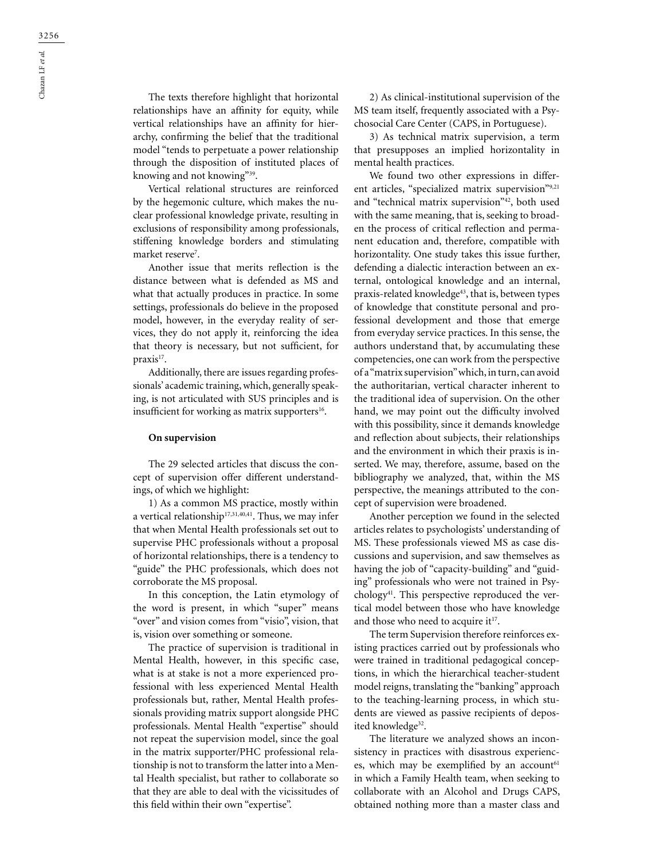The texts therefore highlight that horizontal relationships have an affinity for equity, while vertical relationships have an affinity for hierarchy, confirming the belief that the traditional model "tends to perpetuate a power relationship through the disposition of instituted places of knowing and not knowing"39.

Vertical relational structures are reinforced by the hegemonic culture, which makes the nuclear professional knowledge private, resulting in exclusions of responsibility among professionals, stiffening knowledge borders and stimulating market reserve<sup>7</sup>.

Another issue that merits reflection is the distance between what is defended as MS and what that actually produces in practice. In some settings, professionals do believe in the proposed model, however, in the everyday reality of services, they do not apply it, reinforcing the idea that theory is necessary, but not sufficient, for praxis<sup>17</sup>.

Additionally, there are issues regarding professionals' academic training, which, generally speaking, is not articulated with SUS principles and is insufficient for working as matrix supporters<sup>16</sup>.

#### **On supervision**

The 29 selected articles that discuss the concept of supervision offer different understandings, of which we highlight:

1) As a common MS practice, mostly within a vertical relationship<sup>17,31,40,41</sup>. Thus, we may infer that when Mental Health professionals set out to supervise PHC professionals without a proposal of horizontal relationships, there is a tendency to "guide" the PHC professionals, which does not corroborate the MS proposal.

In this conception, the Latin etymology of the word is present, in which "super" means "over" and vision comes from "visio", vision, that is, vision over something or someone.

The practice of supervision is traditional in Mental Health, however, in this specific case, what is at stake is not a more experienced professional with less experienced Mental Health professionals but, rather, Mental Health professionals providing matrix support alongside PHC professionals. Mental Health "expertise" should not repeat the supervision model, since the goal in the matrix supporter/PHC professional relationship is not to transform the latter into a Mental Health specialist, but rather to collaborate so that they are able to deal with the vicissitudes of this field within their own "expertise".

2) As clinical-institutional supervision of the MS team itself, frequently associated with a Psychosocial Care Center (CAPS, in Portuguese).

3) As technical matrix supervision, a term that presupposes an implied horizontality in mental health practices.

We found two other expressions in different articles, "specialized matrix supervision"9,21 and "technical matrix supervision"42, both used with the same meaning, that is, seeking to broaden the process of critical reflection and permanent education and, therefore, compatible with horizontality. One study takes this issue further, defending a dialectic interaction between an external, ontological knowledge and an internal, praxis-related knowledge<sup>43</sup>, that is, between types of knowledge that constitute personal and professional development and those that emerge from everyday service practices. In this sense, the authors understand that, by accumulating these competencies, one can work from the perspective of a "matrix supervision" which, in turn, can avoid the authoritarian, vertical character inherent to the traditional idea of supervision. On the other hand, we may point out the difficulty involved with this possibility, since it demands knowledge and reflection about subjects, their relationships and the environment in which their praxis is inserted. We may, therefore, assume, based on the bibliography we analyzed, that, within the MS perspective, the meanings attributed to the concept of supervision were broadened.

Another perception we found in the selected articles relates to psychologists' understanding of MS. These professionals viewed MS as case discussions and supervision, and saw themselves as having the job of "capacity-building" and "guiding" professionals who were not trained in Psychology41. This perspective reproduced the vertical model between those who have knowledge and those who need to acquire it<sup>17</sup>.

The term Supervision therefore reinforces existing practices carried out by professionals who were trained in traditional pedagogical conceptions, in which the hierarchical teacher-student model reigns, translating the "banking" approach to the teaching-learning process, in which students are viewed as passive recipients of deposited knowledge<sup>32</sup>.

The literature we analyzed shows an inconsistency in practices with disastrous experiences, which may be exemplified by an account<sup>61</sup> in which a Family Health team, when seeking to collaborate with an Alcohol and Drugs CAPS, obtained nothing more than a master class and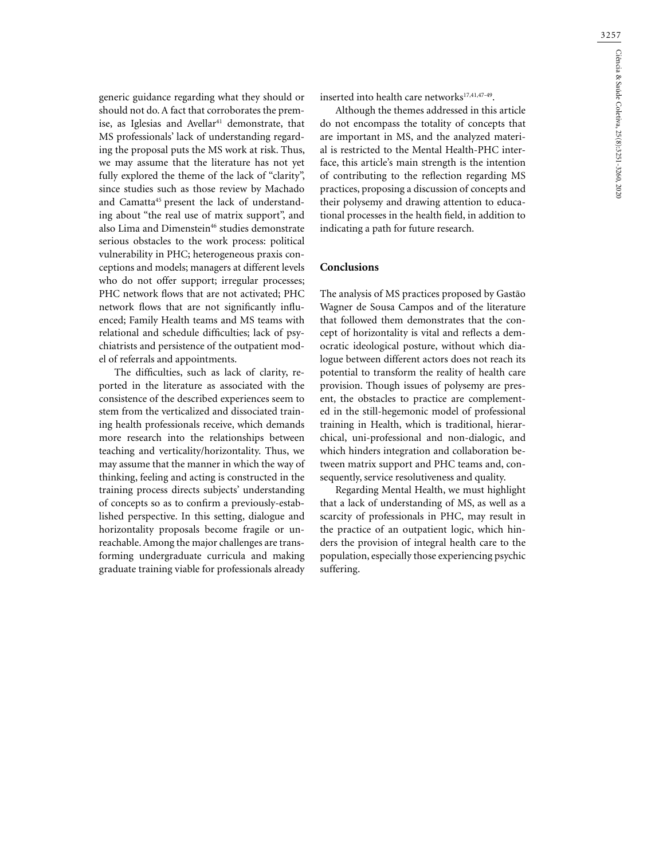generic guidance regarding what they should or should not do. A fact that corroborates the premise, as Iglesias and Avellar<sup>41</sup> demonstrate, that MS professionals' lack of understanding regarding the proposal puts the MS work at risk. Thus, we may assume that the literature has not yet fully explored the theme of the lack of "clarity", since studies such as those review by Machado and Camatta<sup>45</sup> present the lack of understanding about "the real use of matrix support", and also Lima and Dimenstein<sup>46</sup> studies demonstrate serious obstacles to the work process: political vulnerability in PHC; heterogeneous praxis conceptions and models; managers at different levels who do not offer support; irregular processes; PHC network flows that are not activated; PHC network flows that are not significantly influenced; Family Health teams and MS teams with relational and schedule difficulties; lack of psychiatrists and persistence of the outpatient model of referrals and appointments.

The difficulties, such as lack of clarity, reported in the literature as associated with the consistence of the described experiences seem to stem from the verticalized and dissociated training health professionals receive, which demands more research into the relationships between teaching and verticality/horizontality. Thus, we may assume that the manner in which the way of thinking, feeling and acting is constructed in the training process directs subjects' understanding of concepts so as to confirm a previously-established perspective. In this setting, dialogue and horizontality proposals become fragile or unreachable. Among the major challenges are transforming undergraduate curricula and making graduate training viable for professionals already inserted into health care networks<sup>17,41,47-49</sup>.

Although the themes addressed in this article do not encompass the totality of concepts that are important in MS, and the analyzed material is restricted to the Mental Health-PHC interface, this article's main strength is the intention of contributing to the reflection regarding MS practices, proposing a discussion of concepts and their polysemy and drawing attention to educational processes in the health field, in addition to indicating a path for future research.

# **Conclusions**

The analysis of MS practices proposed by Gastão Wagner de Sousa Campos and of the literature that followed them demonstrates that the concept of horizontality is vital and reflects a democratic ideological posture, without which dialogue between different actors does not reach its potential to transform the reality of health care provision. Though issues of polysemy are present, the obstacles to practice are complemented in the still-hegemonic model of professional training in Health, which is traditional, hierarchical, uni-professional and non-dialogic, and which hinders integration and collaboration between matrix support and PHC teams and, consequently, service resolutiveness and quality.

Regarding Mental Health, we must highlight that a lack of understanding of MS, as well as a scarcity of professionals in PHC, may result in the practice of an outpatient logic, which hinders the provision of integral health care to the population, especially those experiencing psychic suffering.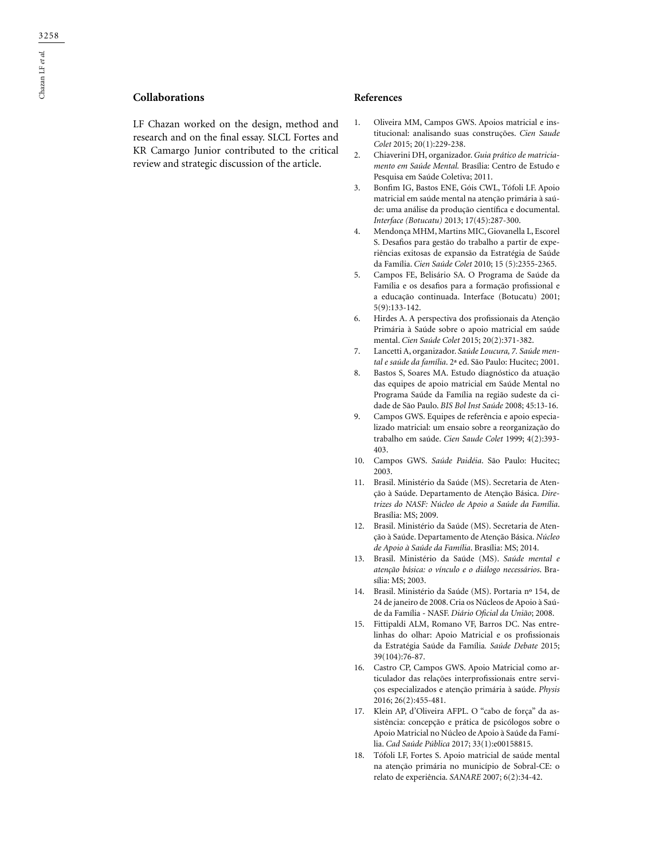# **Collaborations**

LF Chazan worked on the design, method and research and on the final essay. SLCL Fortes and KR Camargo Junior contributed to the critical review and strategic discussion of the article.

#### **References**

- 1. Oliveira MM, Campos GWS. Apoios matricial e institucional: analisando suas construções. *Cien Saude Colet* 2015; 20(1):229-238.
- 2. Chiaverini DH, organizador. *Guia prático de matriciamento em Saúde Mental.* Brasília: Centro de Estudo e Pesquisa em Saúde Coletiva; 2011.
- 3. Bonfim IG, Bastos ENE, Góis CWL, Tófoli LF. Apoio matricial em saúde mental na atenção primária à saúde: uma análise da produção científica e documental. *Interface (Botucatu)* 2013; 17(45):287-300.
- 4. Mendonça MHM, Martins MIC, Giovanella L, Escorel S. Desafios para gestão do trabalho a partir de experiências exitosas de expansão da Estratégia de Saúde da Família. *Cien Saúde Colet* 2010; 15 (5):2355-2365.
- 5. Campos FE, Belisário SA. O Programa de Saúde da Família e os desafios para a formação profissional e a educação continuada. Interface (Botucatu) 2001; 5(9):133-142.
- 6. Hirdes A. A perspectiva dos profissionais da Atenção Primária à Saúde sobre o apoio matricial em saúde mental. *Cien Saúde Colet* 2015; 20(2):371-382.
- 7. Lancetti A, organizador. *Saúde Loucura, 7. Saúde mental e saúde da família*. 2ª ed. São Paulo: Hucitec; 2001.
- 8. Bastos S, Soares MA. Estudo diagnóstico da atuação das equipes de apoio matricial em Saúde Mental no Programa Saúde da Família na região sudeste da cidade de São Paulo. *BIS Bol Inst Saúde* 2008; 45:13-16.
- 9. Campos GWS. Equipes de referência e apoio especializado matricial: um ensaio sobre a reorganização do trabalho em saúde. *Cien Saude Colet* 1999; 4(2):393- 403.
- 10. Campos GWS. *Saúde Paidéia*. São Paulo: Hucitec; 2003.
- 11. Brasil. Ministério da Saúde (MS). Secretaria de Atenção à Saúde. Departamento de Atenção Básica. *Diretrizes do NASF: Núcleo de Apoio a Saúde da Família*. Brasília: MS; 2009.
- 12. Brasil. Ministério da Saúde (MS). Secretaria de Atenção à Saúde. Departamento de Atenção Básica. *Núcleo de Apoio à Saúde da Família*. Brasília: MS; 2014.
- 13. Brasil. Ministério da Saúde (MS). *Saúde mental e atenção básica: o vínculo e o diálogo necessários*. Brasília: MS; 2003.
- 14. Brasil. Ministério da Saúde (MS). Portaria nº 154, de 24 de janeiro de 2008. Cria os Núcleos de Apoio à Saúde da Família - NASF. *Diário Oficial da União*; 2008.
- 15. Fittipaldi ALM, Romano VF, Barros DC. Nas entrelinhas do olhar: Apoio Matricial e os profissionais da Estratégia Saúde da Família*. Saúde Debate* 2015; 39(104):76-87.
- 16. Castro CP, Campos GWS. Apoio Matricial como articulador das relações interprofissionais entre serviços especializados e atenção primária à saúde. *Physis*  2016; 26(2):455-481.
- 17. Klein AP, d'Oliveira AFPL. O "cabo de força" da assistência: concepção e prática de psicólogos sobre o Apoio Matricial no Núcleo de Apoio à Saúde da Família. *Cad Saúde Pública* 2017; 33(1):e00158815.
- 18. Tófoli LF, Fortes S. Apoio matricial de saúde mental na atenção primária no município de Sobral-CE: o relato de experiência. *SANARE* 2007; 6(2):34-42.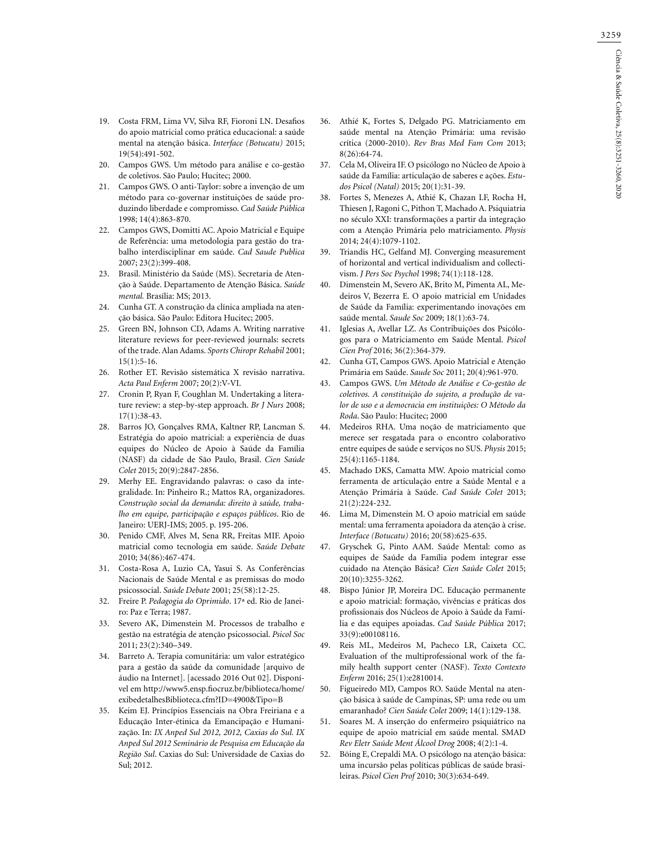- 19. Costa FRM, Lima VV, Silva RF, Fioroni LN. Desafios do apoio matricial como prática educacional: a saúde mental na atenção básica. *Interface (Botucatu)* 2015; 19(54):491-502.
- 20. Campos GWS. Um método para análise e co-gestão de coletivos. São Paulo; Hucitec; 2000.
- 21. Campos GWS. O anti-Taylor: sobre a invenção de um método para co-governar instituições de saúde produzindo liberdade e compromisso. *Cad Saúde Pública* 1998; 14(4):863-870.
- 22. Campos GWS, Domitti AC. Apoio Matricial e Equipe de Referência: uma metodologia para gestão do trabalho interdisciplinar em saúde. *Cad Saude Publica* 2007; 23(2):399-408.
- 23. Brasil. Ministério da Saúde (MS). Secretaria de Atenção à Saúde. Departamento de Atenção Básica. *Saúde mental.* Brasília: MS; 2013.
- 24. Cunha GT. A construção da clínica ampliada na atenção básica. São Paulo: Editora Hucitec; 2005.
- 25. Green BN, Johnson CD, Adams A. Writing narrative literature reviews for peer-reviewed journals: secrets of the trade. Alan Adams. *Sports Chiropr Rehabil* 2001; 15(1):5-16.
- 26. Rother ET. Revisão sistemática X revisão narrativa. *Acta Paul Enferm* 2007; 20(2):V-VI.
- 27. Cronin P, Ryan F, Coughlan M. Undertaking a literature review: a step-by-step approach. *Br J Nurs* 2008; 17(1):38-43.
- 28. Barros JO, Gonçalves RMA, Kaltner RP, Lancman S. Estratégia do apoio matricial: a experiência de duas equipes do Núcleo de Apoio à Saúde da Família (NASF) da cidade de São Paulo, Brasil. *Cien Saúde Colet* 2015; 20(9):2847-2856.
- 29. Merhy EE. Engravidando palavras: o caso da integralidade. In: Pinheiro R.; Mattos RA, organizadores. *Construção social da demanda: direito à saúde, trabalho em equipe, participação e espaços públicos*. Rio de Janeiro: UERJ-IMS; 2005. p. 195-206.
- 30. Penido CMF, Alves M, Sena RR, Freitas MIF. Apoio matricial como tecnologia em saúde. *Saúde Debate* 2010; 34(86):467-474.
- 31. Costa-Rosa A, Luzio CA, Yasui S. As Conferências Nacionais de Saúde Mental e as premissas do modo psicossocial. *Saúde Debate* 2001; 25(58):12-25.
- 32. Freire P. *Pedagogia do Oprimido*. 17ª ed. Rio de Janeiro: Paz e Terra; 1987.
- 33. Severo AK, Dimenstein M. Processos de trabalho e gestão na estratégia de atenção psicossocial. *Psicol Soc* 2011; 23(2):340–349.
- 34. Barreto A. Terapia comunitária: um valor estratégico para a gestão da saúde da comunidade [arquivo de áudio na Internet]. [acessado 2016 Out 02]. Disponível em http://www5.ensp.fiocruz.br/biblioteca/home/ exibedetalhesBiblioteca.cfm?ID=4900&Tipo=B
- 35. Keim EJ. Princípios Essenciais na Obra Freiriana e a Educação Inter-étinica da Emancipação e Humanização. In: *IX Anped Sul 2012, 2012, Caxias do Sul. IX Anped Sul 2012 Seminário de Pesquisa em Educação da Região Sul*. Caxias do Sul: Universidade de Caxias do Sul; 2012.
- 36. Athié K, Fortes S, Delgado PG. Matriciamento em saúde mental na Atenção Primária: uma revisão crítica (2000-2010). *Rev Bras Med Fam Com* 2013; 8(26):64-74.
- 37. Cela M, Oliveira IF. O psicólogo no Núcleo de Apoio à saúde da Família: articulação de saberes e ações. *Estudos Psicol (Natal)* 2015; 20(1):31-39.
- 38. Fortes S, Menezes A, Athié K, Chazan LF, Rocha H, Thiesen J, Ragoni C, Pithon T, Machado A. Psiquiatria no século XXI: transformações a partir da integração com a Atenção Primária pelo matriciamento. *Physis* 2014; 24(4):1079-1102.
- 39. Triandis HC, Gelfand MJ. Converging measurement of horizontal and vertical individualism and collectivism. *J Pers Soc Psychol* 1998; 74(1):118-128.
- 40. Dimenstein M, Severo AK, Brito M, Pimenta AL, Medeiros V, Bezerra E. O apoio matricial em Unidades de Saúde da Família: experimentando inovações em saúde mental. *Saude Soc* 2009; 18(1):63-74.
- 41. Iglesias A, Avellar LZ. As Contribuições dos Psicólogos para o Matriciamento em Saúde Mental. *Psicol Cien Prof* 2016; 36(2):364-379.
- 42. Cunha GT, Campos GWS. Apoio Matricial e Atenção Primária em Saúde. *Saude Soc* 2011; 20(4):961-970.
- 43. Campos GWS. *Um Método de Análise e Co-gestão de coletivos. A constituição do sujeito, a produção de valor de uso e a democracia em instituições: O Método da Roda*. São Paulo: Hucitec; 2000
- 44. Medeiros RHA. Uma noção de matriciamento que merece ser resgatada para o encontro colaborativo entre equipes de saúde e serviços no SUS. *Physis* 2015; 25(4):1165-1184.
- 45. Machado DKS, Camatta MW. Apoio matricial como ferramenta de articulação entre a Saúde Mental e a Atenção Primária à Saúde. *Cad Saúde Colet* 2013; 21(2):224-232.
- 46. Lima M, Dimenstein M. O apoio matricial em saúde mental: uma ferramenta apoiadora da atenção à crise. *Interface (Botucatu)* 2016; 20(58):625-635.
- 47. Gryschek G, Pinto AAM. Saúde Mental: como as equipes de Saúde da Família podem integrar esse cuidado na Atenção Básica? *Cien Saúde Colet* 2015; 20(10):3255-3262.
- 48. Bispo Júnior JP, Moreira DC. Educação permanente e apoio matricial: formação, vivências e práticas dos profissionais dos Núcleos de Apoio à Saúde da Família e das equipes apoiadas. *Cad Saúde Pública* 2017; 33(9):e00108116.
- 49. Reis ML, Medeiros M, Pacheco LR, Caixeta CC. Evaluation of the multiprofessional work of the family health support center (NASF). *Texto Contexto Enferm* 2016; 25(1):e2810014.
- 50. Figueiredo MD, Campos RO. Saúde Mental na atenção básica à saúde de Campinas, SP: uma rede ou um emaranhado? *Cien Saúde Colet* 2009; 14(1):129-138.
- 51. Soares M. A inserção do enfermeiro psiquiátrico na equipe de apoio matricial em saúde mental. SMAD *Rev Eletr Saúde Ment Álcool Drog* 2008; 4(2):1-4.
- 52. Böing E, Crepaldi MA. O psicólogo na atenção básica: uma incursão pelas políticas públicas de saúde brasileiras. *Psicol Cien Prof* 2010; 30(3):634-649.